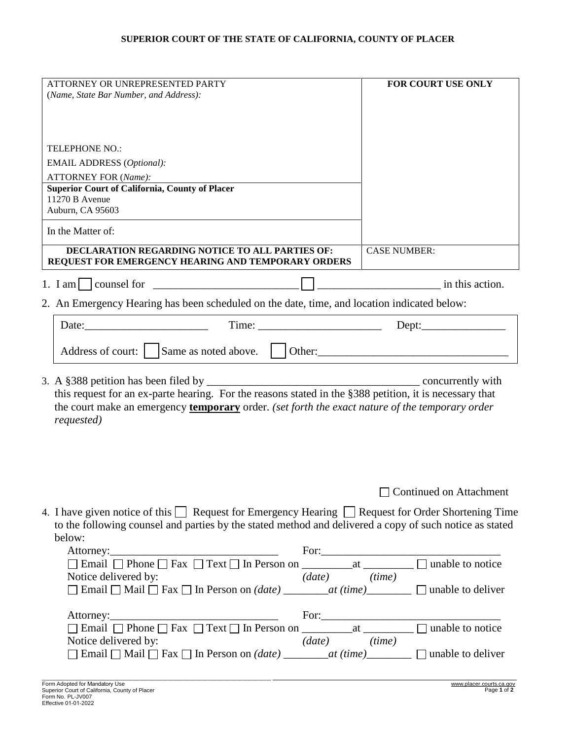## **SUPERIOR COURT OF THE STATE OF CALIFORNIA, COUNTY OF PLACER**

|                                                                                                                                                                                                                                         | FOR COURT USE ONLY      |  |  |
|-----------------------------------------------------------------------------------------------------------------------------------------------------------------------------------------------------------------------------------------|-------------------------|--|--|
| (Name, State Bar Number, and Address):                                                                                                                                                                                                  |                         |  |  |
|                                                                                                                                                                                                                                         |                         |  |  |
|                                                                                                                                                                                                                                         |                         |  |  |
|                                                                                                                                                                                                                                         |                         |  |  |
| <b>TELEPHONE NO.:</b>                                                                                                                                                                                                                   |                         |  |  |
| <b>EMAIL ADDRESS</b> (Optional):                                                                                                                                                                                                        |                         |  |  |
| <b>ATTORNEY FOR (Name):</b>                                                                                                                                                                                                             |                         |  |  |
| Superior Court of California, County of Placer                                                                                                                                                                                          |                         |  |  |
| 11270 B Avenue                                                                                                                                                                                                                          |                         |  |  |
| Auburn, CA 95603                                                                                                                                                                                                                        |                         |  |  |
| In the Matter of:                                                                                                                                                                                                                       |                         |  |  |
| DECLARATION REGARDING NOTICE TO ALL PARTIES OF:                                                                                                                                                                                         | <b>CASE NUMBER:</b>     |  |  |
| REQUEST FOR EMERGENCY HEARING AND TEMPORARY ORDERS                                                                                                                                                                                      |                         |  |  |
| 1. I am $\vert$ counsel for                                                                                                                                                                                                             | in this action.         |  |  |
| 2. An Emergency Hearing has been scheduled on the date, time, and location indicated below:                                                                                                                                             |                         |  |  |
| Date:                                                                                                                                                                                                                                   |                         |  |  |
|                                                                                                                                                                                                                                         |                         |  |  |
| Address of court:<br>Same as noted above.                                                                                                                                                                                               |                         |  |  |
|                                                                                                                                                                                                                                         |                         |  |  |
| 3. A $\S 388$ petition has been filed by<br>concurrently with                                                                                                                                                                           |                         |  |  |
|                                                                                                                                                                                                                                         |                         |  |  |
| this request for an ex-parte hearing. For the reasons stated in the §388 petition, it is necessary that                                                                                                                                 |                         |  |  |
| the court make an emergency <b>temporary</b> order. (set forth the exact nature of the temporary order                                                                                                                                  |                         |  |  |
| requested)                                                                                                                                                                                                                              |                         |  |  |
|                                                                                                                                                                                                                                         |                         |  |  |
|                                                                                                                                                                                                                                         |                         |  |  |
|                                                                                                                                                                                                                                         |                         |  |  |
|                                                                                                                                                                                                                                         |                         |  |  |
|                                                                                                                                                                                                                                         | Continued on Attachment |  |  |
|                                                                                                                                                                                                                                         |                         |  |  |
| 4. I have given notice of this $\Box$ Request for Emergency Hearing $\Box$ Request for Order Shortening Time                                                                                                                            |                         |  |  |
| to the following counsel and parties by the stated method and delivered a copy of such notice as stated                                                                                                                                 |                         |  |  |
| below:                                                                                                                                                                                                                                  |                         |  |  |
|                                                                                                                                                                                                                                         |                         |  |  |
|                                                                                                                                                                                                                                         |                         |  |  |
| $(date)$ $(time)$<br>Notice delivered by:                                                                                                                                                                                               |                         |  |  |
| $\Box$ Email $\Box$ Mail $\Box$ Fax $\Box$ In Person on <i>(date)</i> ________at <i>(time)</i> _________ $\Box$ unable to deliver                                                                                                       |                         |  |  |
|                                                                                                                                                                                                                                         |                         |  |  |
| Attorney: For: For: For: For: For: For: For: In Person on For: In Person on <u>Fore</u> at <u>Final</u> Definition on Definition on Definition on Definition on Definition on Definition on Definition on Definition on Definition on D |                         |  |  |
| $(date)$ $(time)$<br>Notice delivered by:<br>$\Box$ Email $\Box$ Mail $\Box$ Fax $\Box$ In Person on ( <i>date</i> ) ________at (time) _________ $\Box$ unable to deliver                                                               |                         |  |  |